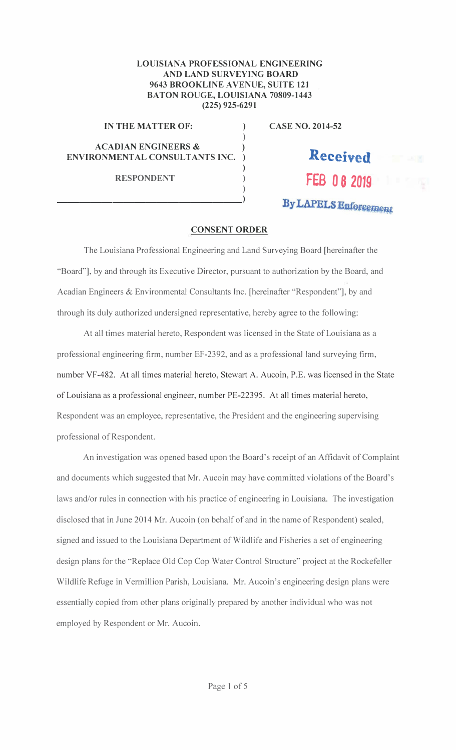## LOUISIANA PROFESSIONAL ENGINEERING AND LAND SURVEYING BOARD 9643 BROOKLINE AVENUE, SUITE 121 **BATON ROUGE, LOUISIANA 70809-1443**  $(225)$  925-6291

 $\lambda$  $\mathcal{L}$ 

 $\lambda$ 

 $\lambda$ 

 $\lambda$  $\lambda$ 

## IN THE MATTER OF:

**ACADIAN ENGINEERS &** ENVIRONMENTAL CONSULTANTS INC.

**RESPONDENT** 

**CASE NO. 2014-52** 

## Received FEB 08 2019 By LAPELS Enforcement

## **CONSENT ORDER**

The Louisiana Professional Engineering and Land Surveying Board [hereinafter the "Board"], by and through its Executive Director, pursuant to authorization by the Board, and Acadian Engineers & Environmental Consultants Inc. [hereinafter "Respondent"], by and through its duly authorized undersigned representative, hereby agree to the following:

At all times material hereto, Respondent was licensed in the State of Louisiana as a professional engineering firm, number EF-2392, and as a professional land surveying firm, number VF-482. At all times material hereto, Stewart A. Aucoin, P.E. was licensed in the State of Louisiana as a professional engineer, number PE-22395. At all times material hereto, Respondent was an employee, representative, the President and the engineering supervising professional of Respondent.

An investigation was opened based upon the Board's receipt of an Affidavit of Complaint and documents which suggested that Mr. Aucoin may have committed violations of the Board's laws and/or rules in connection with his practice of engineering in Louisiana. The investigation disclosed that in June 2014 Mr. Aucoin (on behalf of and in the name of Respondent) sealed, signed and issued to the Louisiana Department of Wildlife and Fisheries a set of engineering design plans for the "Replace Old Cop Cop Water Control Structure" project at the Rockefeller Wildlife Refuge in Vermillion Parish, Louisiana. Mr. Aucoin's engineering design plans were essentially copied from other plans originally prepared by another individual who was not employed by Respondent or Mr. Aucoin.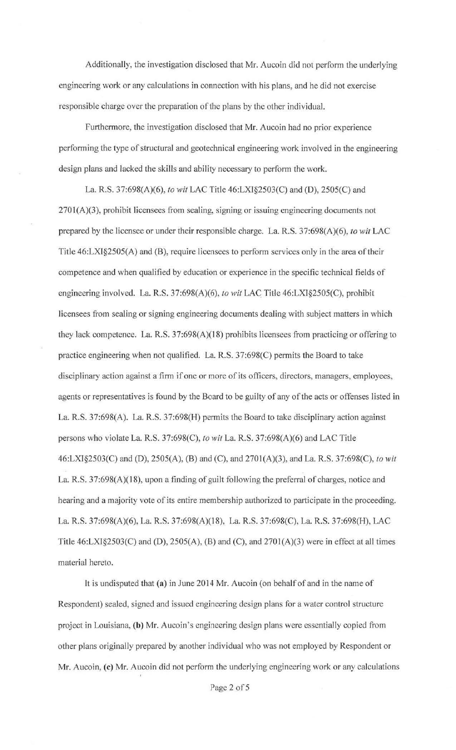Additionally, the investigation disclosed that Mr. Aucoin did not perform the underlying engineering work or any calculations in connection with his plans, and he did not exercise responsible charge over the preparation of the plans by the other individual.

Furthermore, the investigation disclosed that Mr. Aucoin had no prior experience performing the type of structural and geotechnical engineering work involved in the engineering design plans and lacked the skills and ability necessary to perform the work.

La. R.S. 37:698(A)(6), *to wit* LAC Title 46:LXI§2503(C) and (D), 2505(C) and 2701(A)(3), prohibit licensees from sealing, signing or issuing engineering documents not prepared by the licensee or under their responsible charge. La R.S. 37:698(A)(6), *to wit* LAC Title 46:LXI§2505(A) and (B), require licensees to perform services only in the area of their competence and when qualified by education or experience in the specific technical fields of engineering involved. La. R.S. 37:698(A)(6), *to wit* LAC Title 46:LXJ§2505(C), prohibit licensees from sealing or signing engineering documents dealing with subject matters in which they lack competence. La. R.S. 37:698(A)(l 8) prohibits licensees from practicing or offering to practice engineering when not qualified. La. R.S. 37:698(C) permits the Board to take disciplinary action against a firm if one or more of its officers, directors, managers, employees, agents or representatives is found by the Board to be guilty of any of the acts or offenses listed in La R.S. 37:698(A). La R.S. 37:698(H) permits the Board to take disciplinary action against persons who violate La. R.S. 37:698(C), *to wit* La R.S. 37:698(A)(6) and LAC Title 46:LXI§2503(C) and (D), 2505(A), (B) and (C), and 2701 (A)(3), and La. R.S. 37:698(C), *to wit*  La. R.S. 37:698(A)(18), upon a finding of guilt following the preferral of charges, notice and hearing and a majority vote of its entire membership authorized to participate in the proceeding. La. R.S. 37:698(A)(6), La R.S. 37:698(A)(l8), La. R.S. 37:698(C), La. R.S. 37:698(H), LAC Title  $46: LXI \$ §2503(C) and (D), 2505(A), (B) and (C), and 2701(A)(3) were in effect at all times material hereto.

It is undisputed that (a) in June 2014 Mr. Aucoin (on behalf of and in the name of Respondent) sealed, signed and issued engineering design plans for a water control structure project in Louisiana, (b) Mr. Aucoin's engineering design plans were essentially copied from other plans originally prepared by another individual who was not employed by Respondent or Mr. Aucoin, (c) Mr. Aucoin did not perform the underlying engineering work or any calculations

Page 2 of 5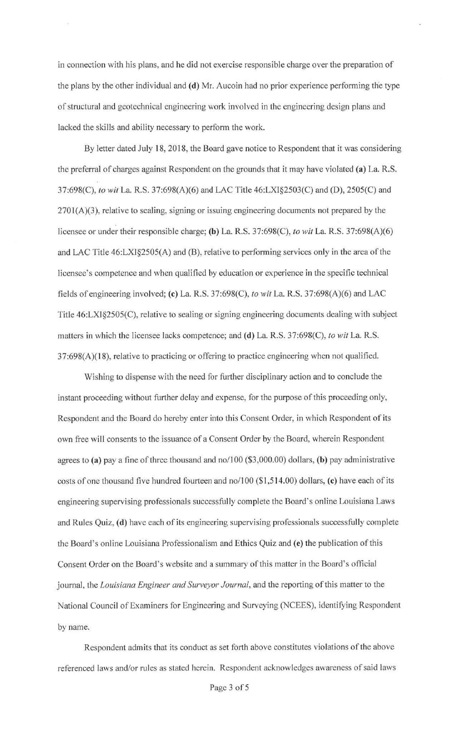in connection with his plans, and he did not exercise responsible charge over the preparation of the plans by the other individual and **(d)** Mr. Aucoin had no prior experience performing the type of structural and geotechnical engineering work involved in the engineering design plans and lacked the skills and ability necessary to perform the work.

By letter dated July 18, 2018, the Board gave notice to Respondent that it was considering the preferral of charges against Respondent on the grounds that it may have violated **(a)** La. R.S. 37:698(C), *to wit* La. R.S. 37:698(A)(6) and LAC Title 46:LXI§2503(C) and (D), 2505(C) and 2701(A)(3), relative to sealing, signing or issuing engineering documents not prepared by the licensee or under their responsible charge; **(b)** La. R.S. 37:698(C), *to wit* La. R.S. 37:698(A)(6) and LAC Title 46:LX1§2505(A) and (B), relative to performing services only in the area of the licensee's competence and when qualified by education or experience in the specific technical fields of engineering involved; **(c)** La. R.S. 37:698(C), *to wit* La. R.S. 37:698(A)(6) and LAC Title 46:LXI§2505(C), relative to sealing or signing engineering documents dealing with subject matters in which the licensee lacks competence; and **(d)** La R.S. 37:698(C), *to wit* La. R.S. 37:698(A)(18), relative to practicing or offering to practice engineering when not qualified.

Wishing to dispense with the need for further disciplinary action and to conclude the instant proceeding without further delay and expense, for the purpose of this proceeding only, Respondent and the Board do hereby enter into this Consent Order, in which Respondent of its own free will consents to the issuance of a Consent Order by the Board, wherein Respondent agrees to **(a)** pay a fine of three thousand and no/100 (\$3,000.00) dollars, **(b)** pay administrative costs of one thousand five hundred fourteen and no/100 (\$ 1,514.00) dollars, ( **c)** have each of its engineering supervising professionals successfully complete the Board's online Louisiana Laws and Rules Quiz, **(d)** have each of its engineering supervising professionals successfully complete the Board's online Louisiana Professionalism and Ethics Quiz and **(e)** the publication of this Consent Order on the Board's website and a summary of this matter in the Board's official journal, the *Louisiana Engineer and Surveyor Journal*, and the reporting of this matter to the National Council of Examiners for Engineering and Surveying (NCEES), identifying Respondent by name.

Respondent admits that its conduct as set forth above constitutes violations of the above referenced laws and/or rules as stated herein. Respondent acknowledges awareness of said laws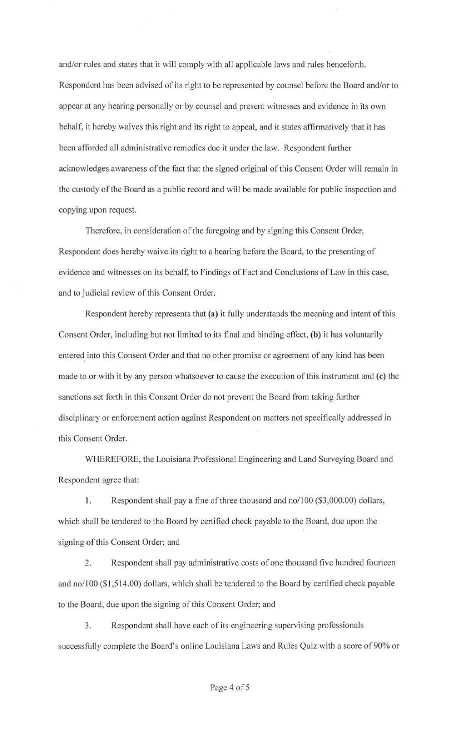and/or rules and states that it will comply with all applicable Jaws and rules henceforth. Respondent has been advised of its right to be represented by counsel before the Board and/or to appear at any hearing personally or by counsel and present witnesses and evidence in its own behalf, it hereby waives this right and its right to appeal, and it states affirmatively that it has been afforded all administrative remedies due it under the Jaw. Respondent further acknowledges awareness of the fact that the signed original of this Consent Order will remain in the custody of the Board as a public record and will be made available for public inspection and copying upon request.

Therefore, in consideration of the foregoing and by signing this Consent Order, Respondent does hereby waive its right to a hearing before the Board, to the presenting of evidence and witnesses on its behalf, to Findings of Fact and Conclusions of Law in this case, and to judicial review of this Consent Order.

Respondent hereby represents that **(a)** it fully understands the meaning and intent of this Consent Order, including but not limited to its final and binding effect, **(b)** it has voluntarily entered into this Consent Order and that no other promise or agreement of any kind has been made to or with it by any person whatsoever to cause the execution of this instrument and **(c)** the sanctions set forth in this Consent Order do not prevent the Board from taking further disciplinary or enforcement action against Respondent on matters not specifically addressed in this Consent Order.

WHEREFORE, the Louisiana Professional Engineering and Land Surveying Board and Respondent agree that:

1. Respondent shall pay a fine of three thousand and no/100 (\$3,000.00) dollars, which shall be tendered to the Board by certified check payable to the Board, due upon the signing of this Consent Order; and

2. Respondent shall pay administrative costs of one thousand five hundred fourteen and no/100 (\$ 1,514.00) dollars, which shall be tendered to the Board by certified check payable to the Board, due upon the signing of this Consent Order; and

3. Respondent shall have each of its engineering supervising professionals successfully complete the Board's online Louisiana Laws and Rules Quiz with a score of 90% or